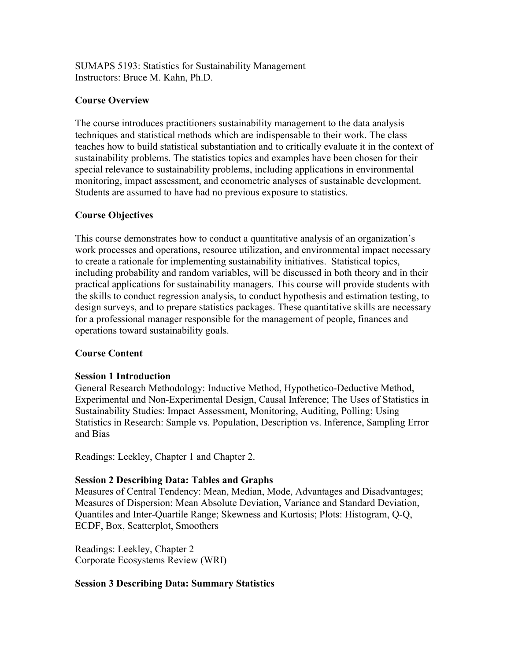SUMAPS 5193: Statistics for Sustainability Management Instructors: Bruce M. Kahn, Ph.D.

### **Course Overview**

The course introduces practitioners sustainability management to the data analysis techniques and statistical methods which are indispensable to their work. The class teaches how to build statistical substantiation and to critically evaluate it in the context of sustainability problems. The statistics topics and examples have been chosen for their special relevance to sustainability problems, including applications in environmental monitoring, impact assessment, and econometric analyses of sustainable development. Students are assumed to have had no previous exposure to statistics.

# **Course Objectives**

This course demonstrates how to conduct a quantitative analysis of an organization's work processes and operations, resource utilization, and environmental impact necessary to create a rationale for implementing sustainability initiatives. Statistical topics, including probability and random variables, will be discussed in both theory and in their practical applications for sustainability managers. This course will provide students with the skills to conduct regression analysis, to conduct hypothesis and estimation testing, to design surveys, and to prepare statistics packages. These quantitative skills are necessary for a professional manager responsible for the management of people, finances and operations toward sustainability goals.

# **Course Content**

# **Session 1 Introduction**

General Research Methodology: Inductive Method, Hypothetico-Deductive Method, Experimental and Non-Experimental Design, Causal Inference; The Uses of Statistics in Sustainability Studies: Impact Assessment, Monitoring, Auditing, Polling; Using Statistics in Research: Sample vs. Population, Description vs. Inference, Sampling Error and Bias

Readings: Leekley, Chapter 1 and Chapter 2.

# **Session 2 Describing Data: Tables and Graphs**

Measures of Central Tendency: Mean, Median, Mode, Advantages and Disadvantages; Measures of Dispersion: Mean Absolute Deviation, Variance and Standard Deviation, Quantiles and Inter-Quartile Range; Skewness and Kurtosis; Plots: Histogram, Q-Q, ECDF, Box, Scatterplot, Smoothers

Readings: Leekley, Chapter 2 Corporate Ecosystems Review (WRI)

# **Session 3 Describing Data: Summary Statistics**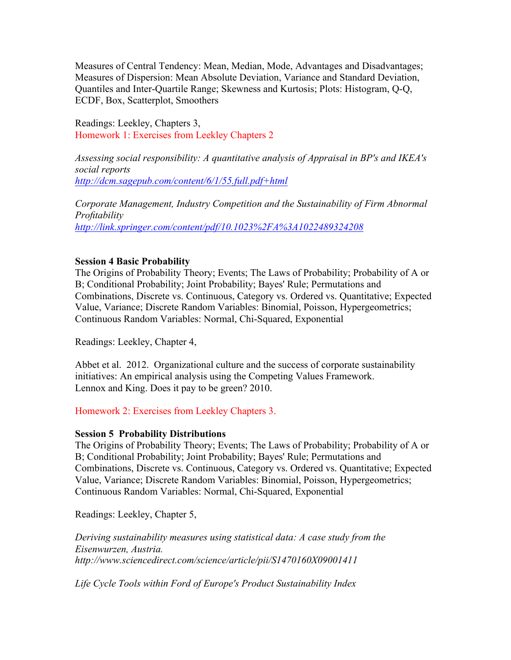Measures of Central Tendency: Mean, Median, Mode, Advantages and Disadvantages; Measures of Dispersion: Mean Absolute Deviation, Variance and Standard Deviation, Quantiles and Inter-Quartile Range; Skewness and Kurtosis; Plots: Histogram, Q-Q, ECDF, Box, Scatterplot, Smoothers

Readings: Leekley, Chapters 3, Homework 1: Exercises from Leekley Chapters 2

*Assessing social responsibility: A quantitative analysis of Appraisal in BP's and IKEA's social reports http://dcm.sagepub.com/content/6/1/55.full.pdf+html*

*Corporate Management, Industry Competition and the Sustainability of Firm Abnormal Profitability http://link.springer.com/content/pdf/10.1023%2FA%3A1022489324208*

### **Session 4 Basic Probability**

The Origins of Probability Theory; Events; The Laws of Probability; Probability of A or B; Conditional Probability; Joint Probability; Bayes' Rule; Permutations and Combinations, Discrete vs. Continuous, Category vs. Ordered vs. Quantitative; Expected Value, Variance; Discrete Random Variables: Binomial, Poisson, Hypergeometrics; Continuous Random Variables: Normal, Chi-Squared, Exponential

Readings: Leekley, Chapter 4,

Abbet et al. 2012. Organizational culture and the success of corporate sustainability initiatives: An empirical analysis using the Competing Values Framework. Lennox and King. Does it pay to be green? 2010.

Homework 2: Exercises from Leekley Chapters 3.

### **Session 5 Probability Distributions**

The Origins of Probability Theory; Events; The Laws of Probability; Probability of A or B; Conditional Probability; Joint Probability; Bayes' Rule; Permutations and Combinations, Discrete vs. Continuous, Category vs. Ordered vs. Quantitative; Expected Value, Variance; Discrete Random Variables: Binomial, Poisson, Hypergeometrics; Continuous Random Variables: Normal, Chi-Squared, Exponential

Readings: Leekley, Chapter 5,

*Deriving sustainability measures using statistical data: A case study from the Eisenwurzen, Austria. http://www.sciencedirect.com/science/article/pii/S1470160X09001411*

*Life Cycle Tools within Ford of Europe's Product Sustainability Index*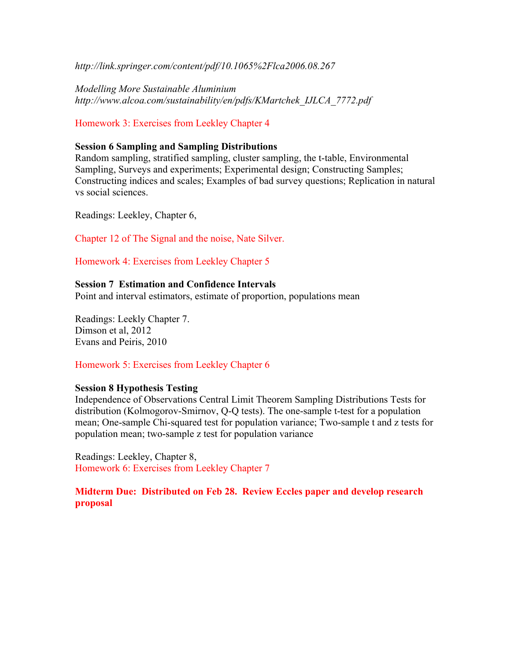*http://link.springer.com/content/pdf/10.1065%2Flca2006.08.267*

*Modelling More Sustainable Aluminium http://www.alcoa.com/sustainability/en/pdfs/KMartchek\_IJLCA\_7772.pdf*

Homework 3: Exercises from Leekley Chapter 4

### **Session 6 Sampling and Sampling Distributions**

Random sampling, stratified sampling, cluster sampling, the t-table, Environmental Sampling, Surveys and experiments; Experimental design; Constructing Samples; Constructing indices and scales; Examples of bad survey questions; Replication in natural vs social sciences.

Readings: Leekley, Chapter 6,

Chapter 12 of The Signal and the noise, Nate Silver.

Homework 4: Exercises from Leekley Chapter 5

### **Session 7 Estimation and Confidence Intervals**

Point and interval estimators, estimate of proportion, populations mean

Readings: Leekly Chapter 7. Dimson et al, 2012 Evans and Peiris, 2010

Homework 5: Exercises from Leekley Chapter 6

### **Session 8 Hypothesis Testing**

Independence of Observations Central Limit Theorem Sampling Distributions Tests for distribution (Kolmogorov-Smirnov, Q-Q tests). The one-sample t-test for a population mean; One-sample Chi-squared test for population variance; Two-sample t and z tests for population mean; two-sample z test for population variance

Readings: Leekley, Chapter 8, Homework 6: Exercises from Leekley Chapter 7

# **Midterm Due: Distributed on Feb 28. Review Eccles paper and develop research proposal**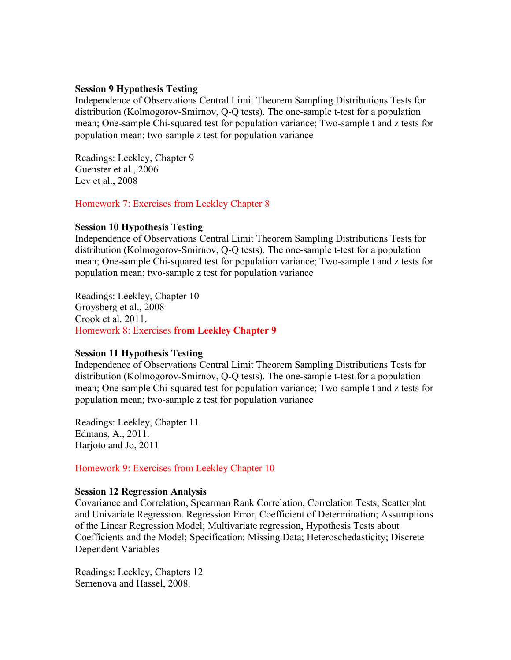#### **Session 9 Hypothesis Testing**

Independence of Observations Central Limit Theorem Sampling Distributions Tests for distribution (Kolmogorov-Smirnov, Q-Q tests). The one-sample t-test for a population mean; One-sample Chi-squared test for population variance; Two-sample t and z tests for population mean; two-sample z test for population variance

Readings: Leekley, Chapter 9 Guenster et al., 2006 Lev et al., 2008

Homework 7: Exercises from Leekley Chapter 8

### **Session 10 Hypothesis Testing**

Independence of Observations Central Limit Theorem Sampling Distributions Tests for distribution (Kolmogorov-Smirnov, Q-Q tests). The one-sample t-test for a population mean; One-sample Chi-squared test for population variance; Two-sample t and z tests for population mean; two-sample z test for population variance

Readings: Leekley, Chapter 10 Groysberg et al., 2008 Crook et al. 2011. Homework 8: Exercises **from Leekley Chapter 9**

#### **Session 11 Hypothesis Testing**

Independence of Observations Central Limit Theorem Sampling Distributions Tests for distribution (Kolmogorov-Smirnov, Q-Q tests). The one-sample t-test for a population mean; One-sample Chi-squared test for population variance; Two-sample t and z tests for population mean; two-sample z test for population variance

Readings: Leekley, Chapter 11 Edmans, A., 2011. Harjoto and Jo, 2011

Homework 9: Exercises from Leekley Chapter 10

#### **Session 12 Regression Analysis**

Covariance and Correlation, Spearman Rank Correlation, Correlation Tests; Scatterplot and Univariate Regression. Regression Error, Coefficient of Determination; Assumptions of the Linear Regression Model; Multivariate regression, Hypothesis Tests about Coefficients and the Model; Specification; Missing Data; Heteroschedasticity; Discrete Dependent Variables

Readings: Leekley, Chapters 12 Semenova and Hassel, 2008.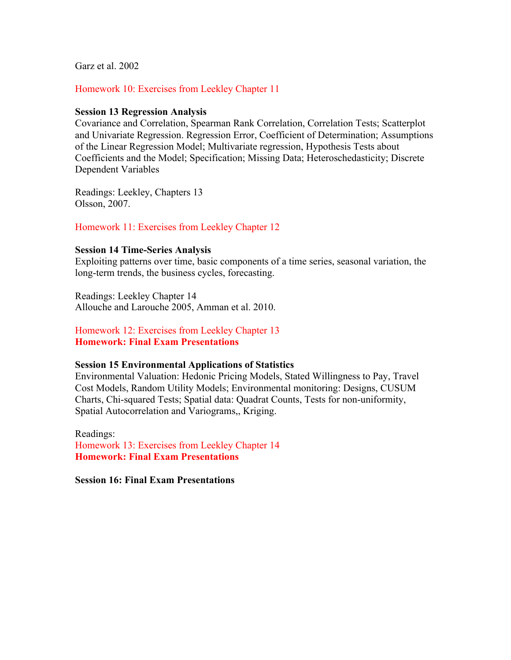Garz et al. 2002

### Homework 10: Exercises from Leekley Chapter 11

#### **Session 13 Regression Analysis**

Covariance and Correlation, Spearman Rank Correlation, Correlation Tests; Scatterplot and Univariate Regression. Regression Error, Coefficient of Determination; Assumptions of the Linear Regression Model; Multivariate regression, Hypothesis Tests about Coefficients and the Model; Specification; Missing Data; Heteroschedasticity; Discrete Dependent Variables

Readings: Leekley, Chapters 13 Olsson, 2007.

#### Homework 11: Exercises from Leekley Chapter 12

#### **Session 14 Time-Series Analysis**

Exploiting patterns over time, basic components of a time series, seasonal variation, the long-term trends, the business cycles, forecasting.

Readings: Leekley Chapter 14 Allouche and Larouche 2005, Amman et al. 2010.

Homework 12: Exercises from Leekley Chapter 13 **Homework: Final Exam Presentations**

#### **Session 15 Environmental Applications of Statistics**

Environmental Valuation: Hedonic Pricing Models, Stated Willingness to Pay, Travel Cost Models, Random Utility Models; Environmental monitoring: Designs, CUSUM Charts, Chi-squared Tests; Spatial data: Quadrat Counts, Tests for non-uniformity, Spatial Autocorrelation and Variograms,, Kriging.

Readings: Homework 13: Exercises from Leekley Chapter 14 **Homework: Final Exam Presentations**

**Session 16: Final Exam Presentations**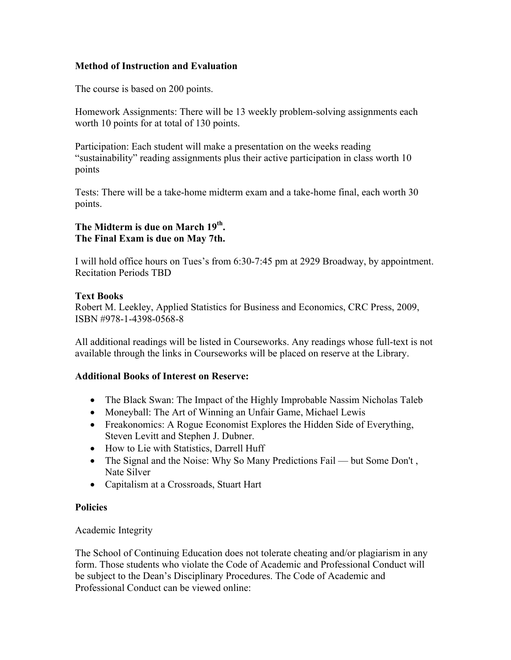# **Method of Instruction and Evaluation**

The course is based on 200 points.

Homework Assignments: There will be 13 weekly problem-solving assignments each worth 10 points for at total of 130 points.

Participation: Each student will make a presentation on the weeks reading "sustainability" reading assignments plus their active participation in class worth 10 points

Tests: There will be a take-home midterm exam and a take-home final, each worth 30 points.

# **The Midterm is due on March 19th. The Final Exam is due on May 7th.**

I will hold office hours on Tues's from 6:30-7:45 pm at 2929 Broadway, by appointment. Recitation Periods TBD

# **Text Books**

Robert M. Leekley, Applied Statistics for Business and Economics, CRC Press, 2009, ISBN #978-1-4398-0568-8

All additional readings will be listed in Courseworks. Any readings whose full-text is not available through the links in Courseworks will be placed on reserve at the Library.

# **Additional Books of Interest on Reserve:**

- The Black Swan: The Impact of the Highly Improbable Nassim Nicholas Taleb
- Moneyball: The Art of Winning an Unfair Game, Michael Lewis
- Freakonomics: A Rogue Economist Explores the Hidden Side of Everything, Steven Levitt and Stephen J. Dubner.
- How to Lie with Statistics, Darrell Huff
- The Signal and the Noise: Why So Many Predictions Fail but Some Don't, Nate Silver
- Capitalism at a Crossroads, Stuart Hart

# **Policies**

# Academic Integrity

The School of Continuing Education does not tolerate cheating and/or plagiarism in any form. Those students who violate the Code of Academic and Professional Conduct will be subject to the Dean's Disciplinary Procedures. The Code of Academic and Professional Conduct can be viewed online: